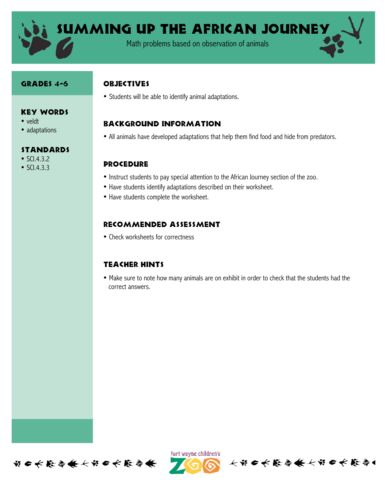

SUMMING UP THE AFRICAN JOURNEY

Math problems based on observation of animals

#### GRADES 4-6

Key Words

### **OBJECTIVES**

• Students will be able to identify animal adaptations.

## Background information

• All animals have developed adaptations that help them find food and hide from predators.

### **PROCEDURE**

- Instruct students to pay special attention to the African Journey section of the zoo.
- Have students identify adaptations described on their worksheet.
- Have students complete the worksheet.

### Recommended assessment

• Check worksheets for correctness

#### Teacher Hints

• Make sure to note how many animals are on exhibit in order to check that the students had the correct answers.





长节日长能与长长节日长能与

# • adaptations

- **STANDARDS**
- $SCl.4.3.2$

• veldt

•  $SCI.4.3.3$